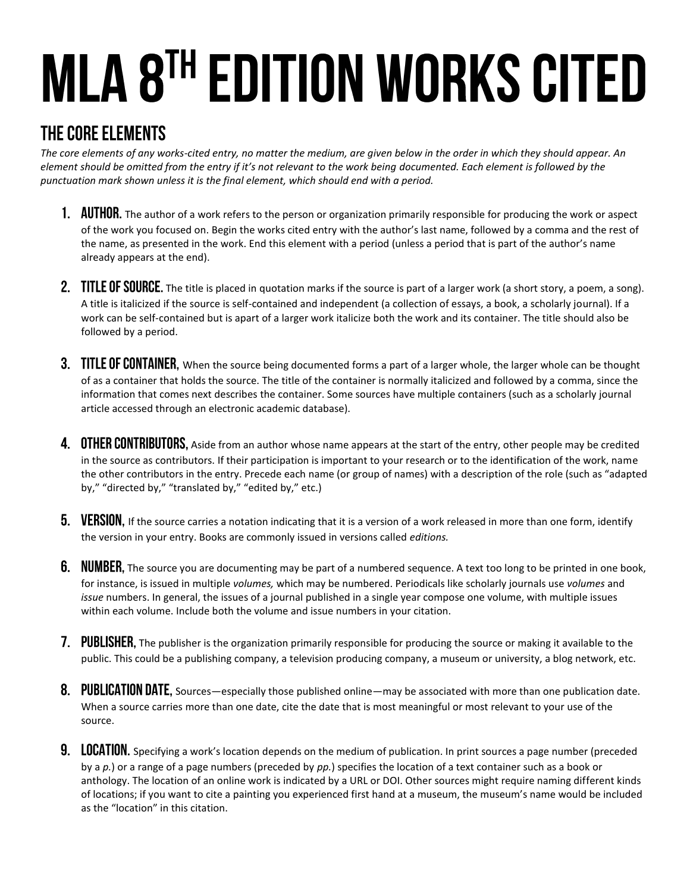# MLA 8TH EDITION WORKS CITED

## THE CORE ELEMENTS

*The core elements of any works-cited entry, no matter the medium, are given below in the order in which they should appear. An element should be omitted from the entry if it's not relevant to the work being documented. Each element is followed by the punctuation mark shown unless it is the final element, which should end with a period.*

- 1. AUTHOR. The author of a work refers to the person or organization primarily responsible for producing the work or aspect of the work you focused on. Begin the works cited entry with the author's last name, followed by a comma and the rest of the name, as presented in the work. End this element with a period (unless a period that is part of the author's name already appears at the end).
- 2. TITLE OF SOURCE. The title is placed in quotation marks if the source is part of a larger work (a short story, a poem, a song). A title is italicized if the source is self-contained and independent (a collection of essays, a book, a scholarly journal). If a work can be self-contained but is apart of a larger work italicize both the work and its container. The title should also be followed by a period.
- 3. TITLE OF CONTAINER, When the source being documented forms a part of a larger whole, the larger whole can be thought of as a container that holds the source. The title of the container is normally italicized and followed by a comma, since the information that comes next describes the container. Some sources have multiple containers (such as a scholarly journal article accessed through an electronic academic database).
- 4. OTHER CONTRIBUTORS, Aside from an author whose name appears at the start of the entry, other people may be credited in the source as contributors. If their participation is important to your research or to the identification of the work, name the other contributors in the entry. Precede each name (or group of names) with a description of the role (such as "adapted by," "directed by," "translated by," "edited by," etc.)
- **5.** VERSION, If the source carries a notation indicating that it is a version of a work released in more than one form, identify the version in your entry. Books are commonly issued in versions called *editions.*
- 6. NUMBER, The source you are documenting may be part of a numbered sequence. A text too long to be printed in one book, for instance, is issued in multiple *volumes,* which may be numbered. Periodicals like scholarly journals use *volumes* and *issue* numbers. In general, the issues of a journal published in a single year compose one volume, with multiple issues within each volume. Include both the volume and issue numbers in your citation.
- 7. PUBLISHER, The publisher is the organization primarily responsible for producing the source or making it available to the public. This could be a publishing company, a television producing company, a museum or university, a blog network, etc.
- 8. PUBLICATION DATE, Sources—especially those published online—may be associated with more than one publication date. When a source carries more than one date, cite the date that is most meaningful or most relevant to your use of the source.
- 9. LOCATION. Specifying a work's location depends on the medium of publication. In print sources a page number (preceded by a *p.*) or a range of a page numbers (preceded by *pp.*) specifies the location of a text container such as a book or anthology. The location of an online work is indicated by a URL or DOI. Other sources might require naming different kinds of locations; if you want to cite a painting you experienced first hand at a museum, the museum's name would be included as the "location" in this citation.